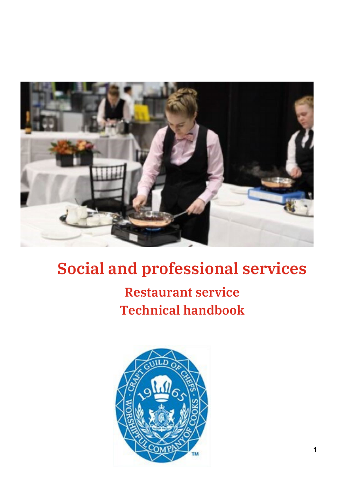

# **Social and professional services**

# **Restaurant service Technical handbook**

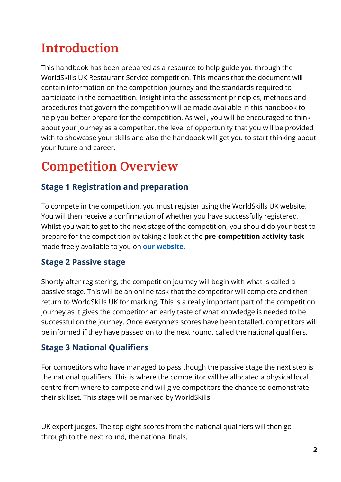## **Introduction**

This handbook has been prepared as a resource to help guide you through the WorldSkills UK Restaurant Service competition. This means that the document will contain information on the competition journey and the standards required to participate in the competition. Insight into the assessment principles, methods and procedures that govern the competition will be made available in this handbook to help you better prepare for the competition. As well, you will be encouraged to think about your journey as a competitor, the level of opportunity that you will be provided with to showcase your skills and also the handbook will get you to start thinking about your future and career.

## **Competition Overview**

## **Stage 1 Registration and preparation**

To compete in the competition, you must register using the WorldSkills UK website. You will then receive a confirmation of whether you have successfully registered. Whilst you wait to get to the next stage of the competition, you should do your best to prepare for the competition by taking a look at the **pre-competition activity task** made freely available to you on **[our website](https://www.worldskillsuk.org/competitions/restaurant-service/)**.

### **Stage 2 Passive stage**

Shortly after registering, the competition journey will begin with what is called a passive stage. This will be an online task that the competitor will complete and then return to WorldSkills UK for marking. This is a really important part of the competition journey as it gives the competitor an early taste of what knowledge is needed to be successful on the journey. Once everyone's scores have been totalled, competitors will be informed if they have passed on to the next round, called the national qualifiers.

## **Stage 3 National Qualifiers**

For competitors who have managed to pass though the passive stage the next step is the national qualifiers. This is where the competitor will be allocated a physical local centre from where to compete and will give competitors the chance to demonstrate their skillset. This stage will be marked by WorldSkills

UK expert judges. The top eight scores from the national qualifiers will then go through to the next round, the national finals.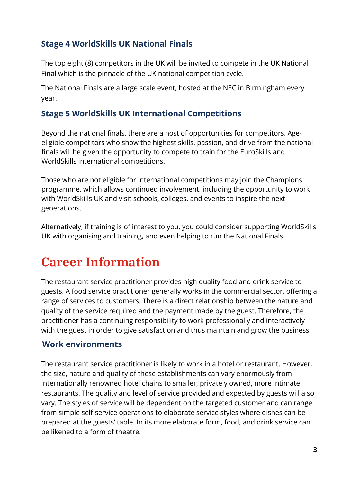## **Stage 4 WorldSkills UK National Finals**

The top eight (8) competitors in the UK will be invited to compete in the UK National Final which is the pinnacle of the UK national competition cycle.

The National Finals are a large scale event, hosted at the NEC in Birmingham every year.

### **Stage 5 WorldSkills UK International Competitions**

Beyond the national finals, there are a host of opportunities for competitors. Ageeligible competitors who show the highest skills, passion, and drive from the national finals will be given the opportunity to compete to train for the EuroSkills and WorldSkills international competitions.

Those who are not eligible for international competitions may join the Champions programme, which allows continued involvement, including the opportunity to work with WorldSkills UK and visit schools, colleges, and events to inspire the next generations.

Alternatively, if training is of interest to you, you could consider supporting WorldSkills UK with organising and training, and even helping to run the National Finals.

## **Career Information**

The restaurant service practitioner provides high quality food and drink service to guests. A food service practitioner generally works in the commercial sector, offering a range of services to customers. There is a direct relationship between the nature and quality of the service required and the payment made by the guest. Therefore, the practitioner has a continuing responsibility to work professionally and interactively with the guest in order to give satisfaction and thus maintain and grow the business.

#### **Work environments**

The restaurant service practitioner is likely to work in a hotel or restaurant. However, the size, nature and quality of these establishments can vary enormously from internationally renowned hotel chains to smaller, privately owned, more intimate restaurants. The quality and level of service provided and expected by guests will also vary. The styles of service will be dependent on the targeted customer and can range from simple self-service operations to elaborate service styles where dishes can be prepared at the guests' table. In its more elaborate form, food, and drink service can be likened to a form of theatre.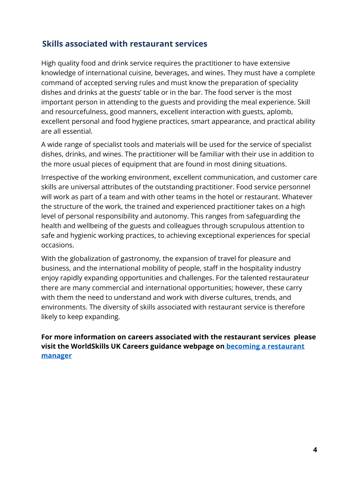### **Skills associated with restaurant services**

High quality food and drink service requires the practitioner to have extensive knowledge of international cuisine, beverages, and wines. They must have a complete command of accepted serving rules and must know the preparation of speciality dishes and drinks at the guests' table or in the bar. The food server is the most important person in attending to the guests and providing the meal experience. Skill and resourcefulness, good manners, excellent interaction with guests, aplomb, excellent personal and food hygiene practices, smart appearance, and practical ability are all essential.

A wide range of specialist tools and materials will be used for the service of specialist dishes, drinks, and wines. The practitioner will be familiar with their use in addition to the more usual pieces of equipment that are found in most dining situations.

Irrespective of the working environment, excellent communication, and customer care skills are universal attributes of the outstanding practitioner. Food service personnel will work as part of a team and with other teams in the hotel or restaurant. Whatever the structure of the work, the trained and experienced practitioner takes on a high level of personal responsibility and autonomy. This ranges from safeguarding the health and wellbeing of the guests and colleagues through scrupulous attention to safe and hygienic working practices, to achieving exceptional experiences for special occasions.

With the globalization of gastronomy, the expansion of travel for pleasure and business, and the international mobility of people, staff in the hospitality industry enjoy rapidly expanding opportunities and challenges. For the talented restaurateur there are many commercial and international opportunities; however, these carry with them the need to understand and work with diverse cultures, trends, and environments. The diversity of skills associated with restaurant service is therefore likely to keep expanding.

**For more information on careers associated with the restaurant services please visit the WorldSkills UK Careers guidance webpage on [becoming a restaurant](https://www.worldskillsuk.org/careers/how-to-become-a-restaurant-manager/)  [manager](https://www.worldskillsuk.org/careers/how-to-become-a-restaurant-manager/)**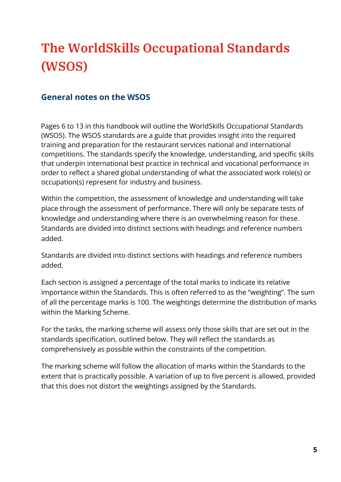# **The WorldSkills Occupational Standards (WSOS)**

### **General notes on the WSOS**

Pages 6 to 13 in this handbook will outline the WorldSkills Occupational Standards (WSOS). The WSOS standards are a guide that provides insight into the required training and preparation for the restaurant services national and international competitions. The standards specify the knowledge, understanding, and specific skills that underpin international best practice in technical and vocational performance in order to reflect a shared global understanding of what the associated work role(s) or occupation(s) represent for industry and business.

Within the competition, the assessment of knowledge and understanding will take place through the assessment of performance. There will only be separate tests of knowledge and understanding where there is an overwhelming reason for these. Standards are divided into distinct sections with headings and reference numbers added.

Standards are divided into distinct sections with headings and reference numbers added.

Each section is assigned a percentage of the total marks to indicate its relative importance within the Standards. This is often referred to as the "weighting". The sum of all the percentage marks is 100. The weightings determine the distribution of marks within the Marking Scheme.

For the tasks, the marking scheme will assess only those skills that are set out in the standards specification, outlined below. They will reflect the standards as comprehensively as possible within the constraints of the competition.

The marking scheme will follow the allocation of marks within the Standards to the extent that is practically possible. A variation of up to five percent is allowed, provided that this does not distort the weightings assigned by the Standards.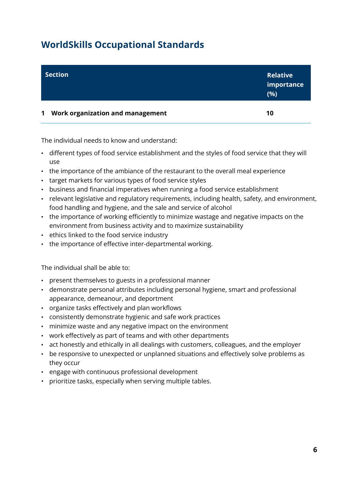## **WorldSkills Occupational Standards**

| <b>Section</b>                                  | <b>Relative</b><br>importance<br>(%) |
|-------------------------------------------------|--------------------------------------|
| Work organization and management<br>$\mathbf 1$ | 10                                   |

The individual needs to know and understand:

- different types of food service establishment and the styles of food service that they will use
- the importance of the ambiance of the restaurant to the overall meal experience
- target markets for various types of food service styles
- business and financial imperatives when running a food service establishment
- relevant legislative and regulatory requirements, including health, safety, and environment, food handling and hygiene, and the sale and service of alcohol
- the importance of working efficiently to minimize wastage and negative impacts on the environment from business activity and to maximize sustainability
- ethics linked to the food service industry
- the importance of effective inter-departmental working.

The individual shall be able to:

- present themselves to guests in a professional manner
- demonstrate personal attributes including personal hygiene, smart and professional appearance, demeanour, and deportment
- organize tasks effectively and plan workflows
- consistently demonstrate hygienic and safe work practices
- minimize waste and any negative impact on the environment
- work effectively as part of teams and with other departments
- act honestly and ethically in all dealings with customers, colleagues, and the employer
- be responsive to unexpected or unplanned situations and effectively solve problems as they occur
- engage with continuous professional development
- prioritize tasks, especially when serving multiple tables.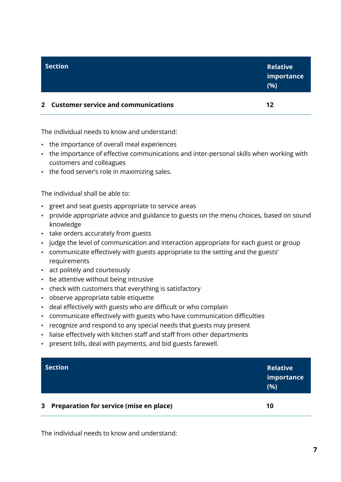| <b>Section</b>                        | <b>Relative</b><br>importance<br>(%) |
|---------------------------------------|--------------------------------------|
| 2 Customer service and communications | 12                                   |

The individual needs to know and understand:

- the importance of overall meal experiences
- the importance of effective communications and inter-personal skills when working with customers and colleagues
- the food server's role in maximizing sales.

The individual shall be able to:

- greet and seat guests appropriate to service areas
- provide appropriate advice and guidance to guests on the menu choices, based on sound knowledge
- take orders accurately from guests
- judge the level of communication and interaction appropriate for each guest or group
- communicate effectively with guests appropriate to the setting and the guests' requirements
- act politely and courteously
- be attentive without being intrusive
- check with customers that everything is satisfactory
- observe appropriate table etiquette
- deal effectively with guests who are difficult or who complain
- communicate effectively with guests who have communication difficulties
- recognize and respond to any special needs that guests may present
- liaise effectively with kitchen staff and staff from other departments
- present bills, deal with payments, and bid guests farewell.

|                | <b>Section</b>                          | <b>Relative</b><br>importance<br>(%) |  |
|----------------|-----------------------------------------|--------------------------------------|--|
| 3 <sup>1</sup> | Preparation for service (mise en place) | 10                                   |  |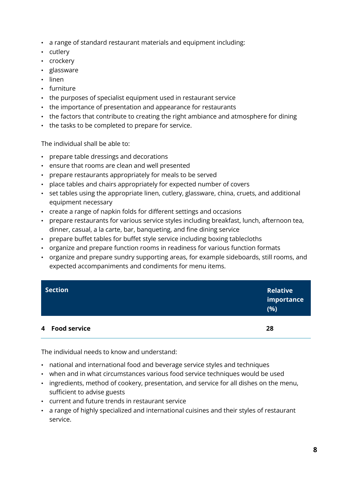- a range of standard restaurant materials and equipment including:
- cutlery
- crockery
- glassware
- linen
- furniture
- the purposes of specialist equipment used in restaurant service
- the importance of presentation and appearance for restaurants
- the factors that contribute to creating the right ambiance and atmosphere for dining
- the tasks to be completed to prepare for service.

- prepare table dressings and decorations
- ensure that rooms are clean and well presented
- prepare restaurants appropriately for meals to be served
- place tables and chairs appropriately for expected number of covers
- set tables using the appropriate linen, cutlery, glassware, china, cruets, and additional equipment necessary
- create a range of napkin folds for different settings and occasions
- prepare restaurants for various service styles including breakfast, lunch, afternoon tea, dinner, casual, a la carte, bar, banqueting, and fine dining service
- prepare buffet tables for buffet style service including boxing tablecloths
- organize and prepare function rooms in readiness for various function formats
- organize and prepare sundry supporting areas, for example sideboards, still rooms, and expected accompaniments and condiments for menu items.

| <b>Section</b> | <b>Relative</b><br>importance<br>(%) |  |
|----------------|--------------------------------------|--|
| 4 Food service | 28                                   |  |

- national and international food and beverage service styles and techniques
- when and in what circumstances various food service techniques would be used
- ingredients, method of cookery, presentation, and service for all dishes on the menu, sufficient to advise guests
- current and future trends in restaurant service
- a range of highly specialized and international cuisines and their styles of restaurant service.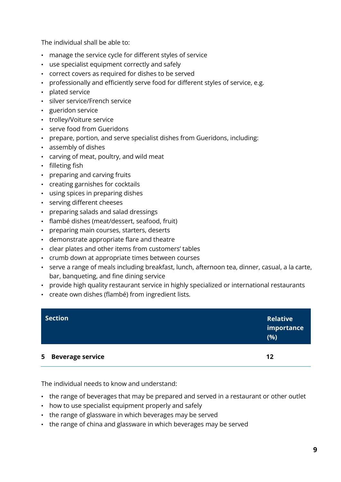- manage the service cycle for different styles of service
- use specialist equipment correctly and safely
- correct covers as required for dishes to be served
- professionally and efficiently serve food for different styles of service, e.g.
- plated service
- silver service/French service
- gueridon service
- trolley/Voiture service
- serve food from Gueridons
- prepare, portion, and serve specialist dishes from Gueridons, including:
- assembly of dishes
- carving of meat, poultry, and wild meat
- filleting fish
- preparing and carving fruits
- creating garnishes for cocktails
- using spices in preparing dishes
- serving different cheeses
- preparing salads and salad dressings
- flambé dishes (meat/dessert, seafood, fruit)
- preparing main courses, starters, deserts
- demonstrate appropriate flare and theatre
- clear plates and other items from customers' tables
- crumb down at appropriate times between courses
- serve a range of meals including breakfast, lunch, afternoon tea, dinner, casual, a la carte, bar, banqueting, and fine dining service
- provide high quality restaurant service in highly specialized or international restaurants
- create own dishes (flambé) from ingredient lists.

| <b>Section</b>     | <b>Relative</b><br>importance<br>(%) |
|--------------------|--------------------------------------|
| 5 Beverage service | 12                                   |

- the range of beverages that may be prepared and served in a restaurant or other outlet
- how to use specialist equipment properly and safely
- the range of glassware in which beverages may be served
- the range of china and glassware in which beverages may be served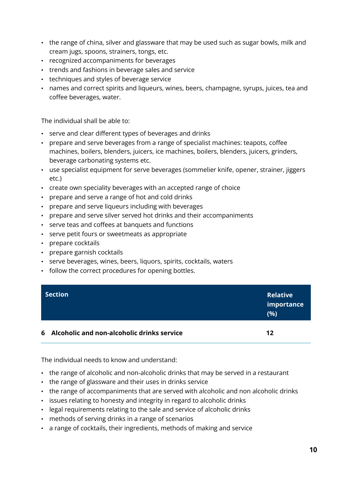- the range of china, silver and glassware that may be used such as sugar bowls, milk and cream jugs, spoons, strainers, tongs, etc.
- recognized accompaniments for beverages
- trends and fashions in beverage sales and service
- techniques and styles of beverage service
- names and correct spirits and liqueurs, wines, beers, champagne, syrups, juices, tea and coffee beverages, water.

- serve and clear different types of beverages and drinks
- prepare and serve beverages from a range of specialist machines: teapots, coffee machines, boilers, blenders, juicers, ice machines, boilers, blenders, juicers, grinders, beverage carbonating systems etc.
- use specialist equipment for serve beverages (sommelier knife, opener, strainer, jiggers etc.)
- create own speciality beverages with an accepted range of choice
- prepare and serve a range of hot and cold drinks
- prepare and serve liqueurs including with beverages
- prepare and serve silver served hot drinks and their accompaniments
- serve teas and coffees at banquets and functions
- serve petit fours or sweetmeats as appropriate
- prepare cocktails
- prepare garnish cocktails
- serve beverages, wines, beers, liquors, spirits, cocktails, waters
- follow the correct procedures for opening bottles.

| <b>Section</b>                               | <b>Relative</b><br>importance<br>(%) |
|----------------------------------------------|--------------------------------------|
| 6 Alcoholic and non-alcoholic drinks service | 12                                   |

- the range of alcoholic and non-alcoholic drinks that may be served in a restaurant
- the range of glassware and their uses in drinks service
- the range of accompaniments that are served with alcoholic and non alcoholic drinks
- issues relating to honesty and integrity in regard to alcoholic drinks
- legal requirements relating to the sale and service of alcoholic drinks
- methods of serving drinks in a range of scenarios
- a range of cocktails, their ingredients, methods of making and service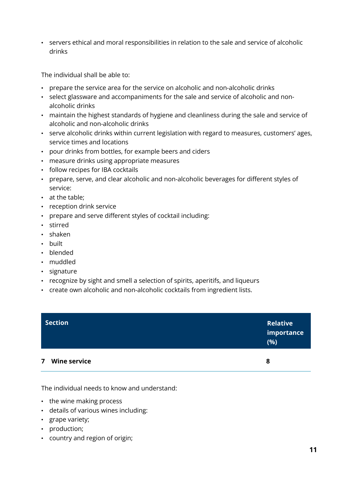• servers ethical and moral responsibilities in relation to the sale and service of alcoholic drinks

The individual shall be able to:

- prepare the service area for the service on alcoholic and non-alcoholic drinks
- select glassware and accompaniments for the sale and service of alcoholic and nonalcoholic drinks
- maintain the highest standards of hygiene and cleanliness during the sale and service of alcoholic and non-alcoholic drinks
- serve alcoholic drinks within current legislation with regard to measures, customers' ages, service times and locations
- pour drinks from bottles, for example beers and ciders
- measure drinks using appropriate measures
- follow recipes for IBA cocktails
- prepare, serve, and clear alcoholic and non-alcoholic beverages for different styles of service:
- at the table;
- reception drink service
- prepare and serve different styles of cocktail including:
- stirred
- shaken
- built
- blended
- muddled
- signature
- recognize by sight and smell a selection of spirits, aperitifs, and liqueurs
- create own alcoholic and non-alcoholic cocktails from ingredient lists.

| <b>Section</b>                                 | <b>Relative</b><br>importance<br>(%) |
|------------------------------------------------|--------------------------------------|
| <b>Wine service</b><br>$\overline{\mathbf{z}}$ | 8                                    |

- the wine making process
- details of various wines including:
- grape variety;
- production;
- country and region of origin;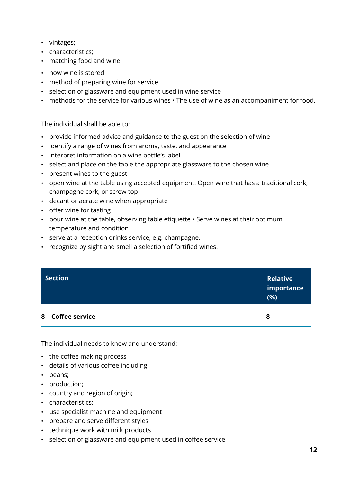- vintages;
- characteristics;
- matching food and wine
- how wine is stored
- method of preparing wine for service
- selection of glassware and equipment used in wine service
- methods for the service for various wines The use of wine as an accompaniment for food,

- provide informed advice and guidance to the guest on the selection of wine
- identify a range of wines from aroma, taste, and appearance
- interpret information on a wine bottle's label
- select and place on the table the appropriate glassware to the chosen wine
- present wines to the guest
- open wine at the table using accepted equipment. Open wine that has a traditional cork, champagne cork, or screw top
- decant or aerate wine when appropriate
- offer wine for tasting
- pour wine at the table, observing table etiquette Serve wines at their optimum temperature and condition
- serve at a reception drinks service, e.g. champagne.
- recognize by sight and smell a selection of fortified wines.

| <b>Section</b>   | <b>Relative</b><br>importance<br>(%) |
|------------------|--------------------------------------|
| 8 Coffee service | 8                                    |

- the coffee making process
- details of various coffee including:
- beans;
- production;
- country and region of origin;
- characteristics;
- use specialist machine and equipment
- prepare and serve different styles
- technique work with milk products
- selection of glassware and equipment used in coffee service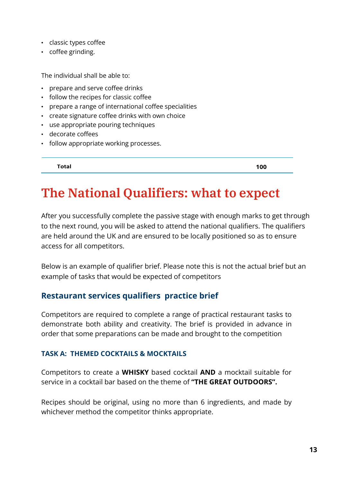- classic types coffee
- coffee grinding.

- prepare and serve coffee drinks
- follow the recipes for classic coffee
- prepare a range of international coffee specialities
- create signature coffee drinks with own choice
- use appropriate pouring techniques
- decorate coffees
- follow appropriate working processes.

Total

100

## **The National Qualifiers: what to expect**

After you successfully complete the passive stage with enough marks to get through to the next round, you will be asked to attend the national qualifiers. The qualifiers are held around the UK and are ensured to be locally positioned so as to ensure access for all competitors.

Below is an example of qualifier brief. Please note this is not the actual brief but an example of tasks that would be expected of competitors

#### **Restaurant services qualifiers practice brief**

Competitors are required to complete a range of practical restaurant tasks to demonstrate both ability and creativity. The brief is provided in advance in order that some preparations can be made and brought to the competition

#### **TASK A: THEMED COCKTAILS & MOCKTAILS**

Competitors to create a **WHISKY** based cocktail **AND** a mocktail suitable for service in a cocktail bar based on the theme of **"THE GREAT OUTDOORS".**

Recipes should be original, using no more than 6 ingredients, and made by whichever method the competitor thinks appropriate.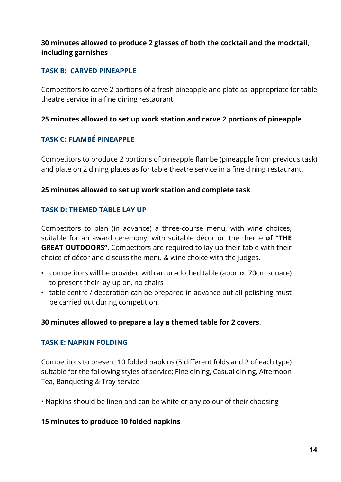#### **30 minutes allowed to produce 2 glasses of both the cocktail and the mocktail, including garnishes**

#### **TASK B: CARVED PINEAPPLE**

Competitors to carve 2 portions of a fresh pineapple and plate as appropriate for table theatre service in a fine dining restaurant

#### **25 minutes allowed to set up work station and carve 2 portions of pineapple**

#### **TASK C: FLAMBÉ PINEAPPLE**

Competitors to produce 2 portions of pineapple flambe (pineapple from previous task) and plate on 2 dining plates as for table theatre service in a fine dining restaurant.

#### **25 minutes allowed to set up work station and complete task**

#### **TASK D: THEMED TABLE LAY UP**

Competitors to plan (in advance) a three-course menu, with wine choices, suitable for an award ceremony, with suitable décor on the theme **of "THE GREAT OUTDOORS"**. Competitors are required to lay up their table with their choice of décor and discuss the menu & wine choice with the judges.

- competitors will be provided with an un-clothed table (approx. 70cm square) to present their lay-up on, no chairs
- table centre / decoration can be prepared in advance but all polishing must be carried out during competition.

#### **30 minutes allowed to prepare a lay a themed table for 2 covers**.

#### **TASK E: NAPKIN FOLDING**

Competitors to present 10 folded napkins (5 different folds and 2 of each type) suitable for the following styles of service; Fine dining, Casual dining, Afternoon Tea, Banqueting & Tray service

• Napkins should be linen and can be white or any colour of their choosing

#### **15 minutes to produce 10 folded napkins**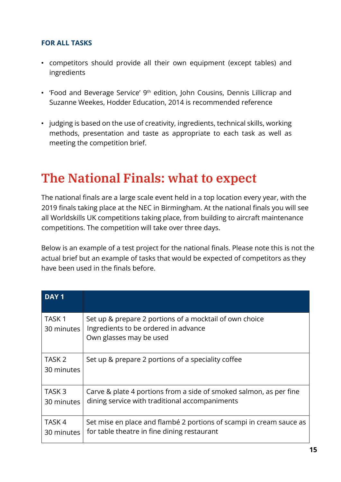#### **FOR ALL TASKS**

- competitors should provide all their own equipment (except tables) and ingredients
- 'Food and Beverage Service' 9<sup>th</sup> edition, John Cousins, Dennis Lillicrap and Suzanne Weekes, Hodder Education, 2014 is recommended reference
- judging is based on the use of creativity, ingredients, technical skills, working methods, presentation and taste as appropriate to each task as well as meeting the competition brief.

## **The National Finals: what to expect**

The national finals are a large scale event held in a top location every year, with the 2019 finals taking place at the NEC in Birmingham. At the national finals you will see all Worldskills UK competitions taking place, from building to aircraft maintenance competitions. The competition will take over three days.

Below is an example of a test project for the national finals. Please note this is not the actual brief but an example of tasks that would be expected of competitors as they have been used in the finals before.

| DAY <sub>1</sub>                |                                                                                                                            |
|---------------------------------|----------------------------------------------------------------------------------------------------------------------------|
| TASK <sub>1</sub><br>30 minutes | Set up & prepare 2 portions of a mocktail of own choice<br>Ingredients to be ordered in advance<br>Own glasses may be used |
| TASK <sub>2</sub><br>30 minutes | Set up & prepare 2 portions of a speciality coffee                                                                         |
| TASK <sub>3</sub><br>30 minutes | Carve & plate 4 portions from a side of smoked salmon, as per fine<br>dining service with traditional accompaniments       |
| TASK <sub>4</sub><br>30 minutes | Set mise en place and flambé 2 portions of scampi in cream sauce as<br>for table theatre in fine dining restaurant         |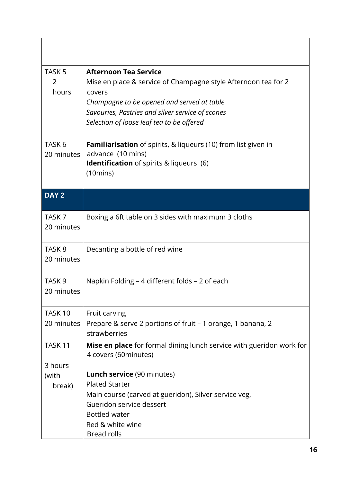| TASK <sub>5</sub><br>2<br>hours  | <b>Afternoon Tea Service</b><br>Mise en place & service of Champagne style Afternoon tea for 2<br>covers<br>Champagne to be opened and served at table<br>Savouries, Pastries and silver service of scones<br>Selection of loose leaf tea to be offered |
|----------------------------------|---------------------------------------------------------------------------------------------------------------------------------------------------------------------------------------------------------------------------------------------------------|
| TASK <sub>6</sub><br>20 minutes  | <b>Familiarisation</b> of spirits, & liqueurs (10) from list given in<br>advance (10 mins)<br><b>Identification</b> of spirits & liqueurs (6)<br>$(10 \text{mins})$                                                                                     |
| DAY <sub>2</sub>                 |                                                                                                                                                                                                                                                         |
| TASK <sub>7</sub><br>20 minutes  | Boxing a 6ft table on 3 sides with maximum 3 cloths                                                                                                                                                                                                     |
| TASK <sub>8</sub><br>20 minutes  | Decanting a bottle of red wine                                                                                                                                                                                                                          |
| TASK <sub>9</sub><br>20 minutes  | Napkin Folding - 4 different folds - 2 of each                                                                                                                                                                                                          |
| TASK <sub>10</sub><br>20 minutes | Fruit carving<br>Prepare & serve 2 portions of fruit – 1 orange, 1 banana, 2<br>strawberries                                                                                                                                                            |
| TASK <sub>11</sub>               | Mise en place for formal dining lunch service with gueridon work for<br>4 covers (60minutes)                                                                                                                                                            |
| 3 hours<br>(with<br>break)       | Lunch service (90 minutes)<br><b>Plated Starter</b><br>Main course (carved at gueridon), Silver service veg,<br>Gueridon service dessert<br><b>Bottled water</b>                                                                                        |
|                                  | Red & white wine<br><b>Bread rolls</b>                                                                                                                                                                                                                  |